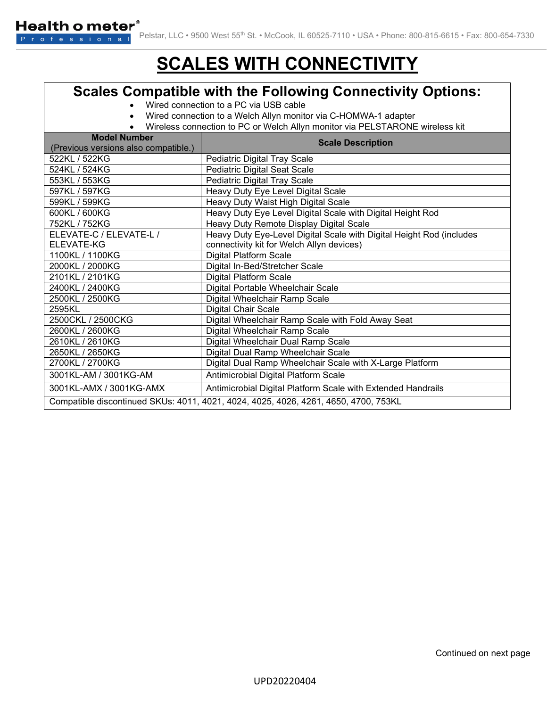## **SCALES WITH CONNECTIVITY**

## **Scales Compatible with the Following Connectivity Options:**

- Wired connection to a PC via USB cable
- Wired connection to a Welch Allyn monitor via C-HOMWA-1 adapter
- Wireless connection to PC or Welch Allyn monitor via PELSTARONE wireless kit

| <b>Model Number</b>                                                                 | <b>Scale Description</b>                                             |
|-------------------------------------------------------------------------------------|----------------------------------------------------------------------|
| (Previous versions also compatible.)                                                |                                                                      |
| 522KL / 522KG                                                                       | Pediatric Digital Tray Scale                                         |
| 524KL / 524KG                                                                       | <b>Pediatric Digital Seat Scale</b>                                  |
| 553KL / 553KG                                                                       | Pediatric Digital Tray Scale                                         |
| 597KL / 597KG                                                                       | Heavy Duty Eye Level Digital Scale                                   |
| 599KL / 599KG                                                                       | Heavy Duty Waist High Digital Scale                                  |
| 600KL / 600KG                                                                       | Heavy Duty Eye Level Digital Scale with Digital Height Rod           |
| 752KL / 752KG                                                                       | Heavy Duty Remote Display Digital Scale                              |
| ELEVATE-C / ELEVATE-L /                                                             | Heavy Duty Eye-Level Digital Scale with Digital Height Rod (includes |
| ELEVATE-KG                                                                          | connectivity kit for Welch Allyn devices)                            |
| 1100KL / 1100KG                                                                     | <b>Digital Platform Scale</b>                                        |
| 2000KL / 2000KG                                                                     | Digital In-Bed/Stretcher Scale                                       |
| 2101KL / 2101KG                                                                     | <b>Digital Platform Scale</b>                                        |
| 2400KL / 2400KG                                                                     | Digital Portable Wheelchair Scale                                    |
| 2500KL / 2500KG                                                                     | Digital Wheelchair Ramp Scale                                        |
| 2595KL                                                                              | <b>Digital Chair Scale</b>                                           |
| 2500CKL / 2500CKG                                                                   | Digital Wheelchair Ramp Scale with Fold Away Seat                    |
| 2600KL / 2600KG                                                                     | Digital Wheelchair Ramp Scale                                        |
| 2610KL / 2610KG                                                                     | Digital Wheelchair Dual Ramp Scale                                   |
| 2650KL / 2650KG                                                                     | Digital Dual Ramp Wheelchair Scale                                   |
| 2700KL / 2700KG                                                                     | Digital Dual Ramp Wheelchair Scale with X-Large Platform             |
| 3001KL-AM / 3001KG-AM                                                               | Antimicrobial Digital Platform Scale                                 |
| 3001KL-AMX / 3001KG-AMX                                                             | Antimicrobial Digital Platform Scale with Extended Handrails         |
| Compatible discontinued SKUs: 4011, 4021, 4024, 4025, 4026, 4261, 4650, 4700, 753KL |                                                                      |